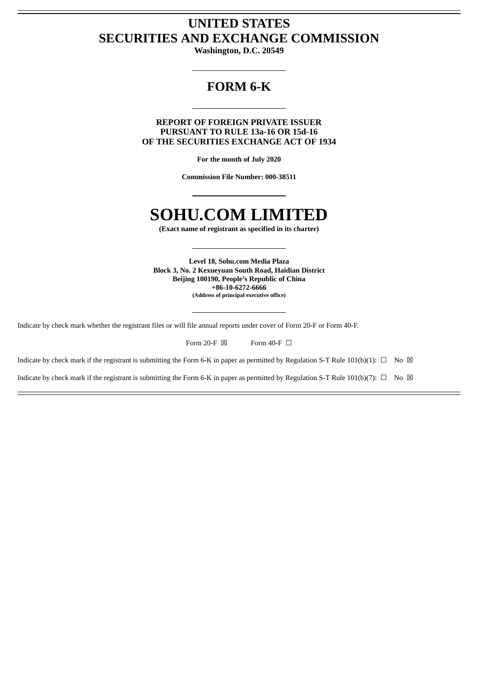# **UNITED STATES SECURITIES AND EXCHANGE COMMISSION**

**Washington, D.C. 20549**

## **FORM 6-K**

**REPORT OF FOREIGN PRIVATE ISSUER PURSUANT TO RULE 13a-16 OR 15d-16 OF THE SECURITIES EXCHANGE ACT OF 1934**

**For the month of July 2020**

**Commission File Number: 000-38511**

# **SOHU.COM LIMITED**

**(Exact name of registrant as specified in its charter)**

**Level 18, Sohu.com Media Plaza Block 3, No. 2 Kexueyuan South Road, Haidian District Beijing 100190, People's Republic of China +86-10-6272-6666 (Address of principal executive office)**

Indicate by check mark whether the registrant files or will file annual reports under cover of Form 20-F or Form 40-F.

| Form 20-F $\boxtimes$ | Form 40-F $\Box$ |
|-----------------------|------------------|
|-----------------------|------------------|

Indicate by check mark if the registrant is submitting the Form 6-K in paper as permitted by Regulation S-T Rule 101(b)(1):  $\Box$  No  $\boxtimes$ 

Indicate by check mark if the registrant is submitting the Form 6-K in paper as permitted by Regulation S-T Rule 101(b)(7):  $\Box$  No  $\boxtimes$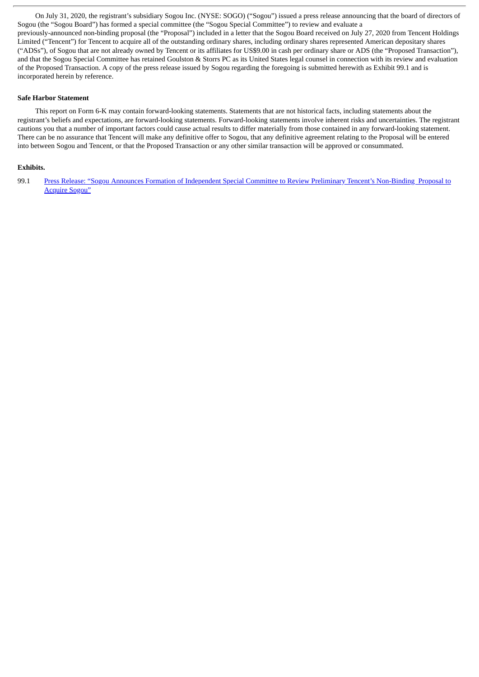On July 31, 2020, the registrant's subsidiary Sogou Inc. (NYSE: SOGO) ("Sogou") issued a press release announcing that the board of directors of Sogou (the "Sogou Board") has formed a special committee (the "Sogou Special Committee") to review and evaluate a previously-announced non-binding proposal (the "Proposal") included in a letter that the Sogou Board received on July 27, 2020 from Tencent Holdings Limited ("Tencent") for Tencent to acquire all of the outstanding ordinary shares, including ordinary shares represented American depositary shares ("ADSs"), of Sogou that are not already owned by Tencent or its affiliates for US\$9.00 in cash per ordinary share or ADS (the "Proposed Transaction"), and that the Sogou Special Committee has retained Goulston & Storrs PC as its United States legal counsel in connection with its review and evaluation of the Proposed Transaction. A copy of the press release issued by Sogou regarding the foregoing is submitted herewith as Exhibit 99.1 and is incorporated herein by reference.

#### **Safe Harbor Statement**

This report on Form 6-K may contain forward-looking statements. Statements that are not historical facts, including statements about the registrant's beliefs and expectations, are forward-looking statements. Forward-looking statements involve inherent risks and uncertainties. The registrant cautions you that a number of important factors could cause actual results to differ materially from those contained in any forward-looking statement. There can be no assurance that Tencent will make any definitive offer to Sogou, that any definitive agreement relating to the Proposal will be entered into between Sogou and Tencent, or that the Proposed Transaction or any other similar transaction will be approved or consummated.

#### **Exhibits.**

| 99.1 | Press Release: "Sogou Announces Formation of Independent Special Committee to Review Preliminary Tencent's Non-Binding Proposal to |  |
|------|------------------------------------------------------------------------------------------------------------------------------------|--|
|      | <b>Acquire Sogou"</b>                                                                                                              |  |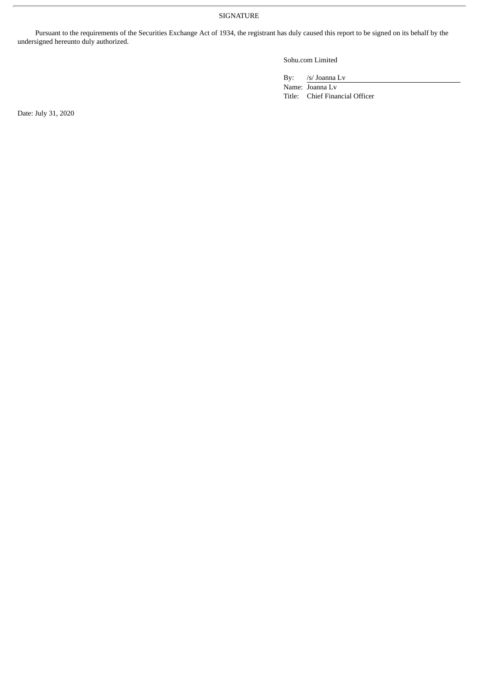SIGNATURE

Pursuant to the requirements of the Securities Exchange Act of 1934, the registrant has duly caused this report to be signed on its behalf by the undersigned hereunto duly authorized.

Sohu.com Limited

By: /s/ Joanna Lv Name: Joanna Lv Title: Chief Financial Officer

Date: July 31, 2020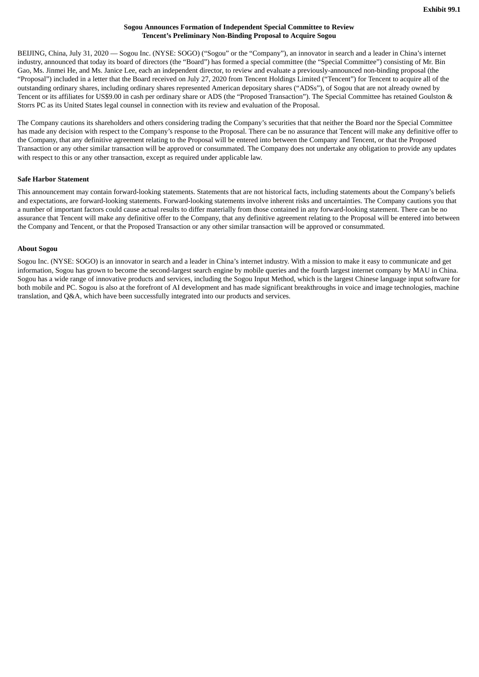#### **Sogou Announces Formation of Independent Special Committee to Review Tencent's Preliminary Non-Binding Proposal to Acquire Sogou**

<span id="page-3-0"></span>BEIJING, China, July 31, 2020 — Sogou Inc. (NYSE: SOGO) ("Sogou" or the "Company"), an innovator in search and a leader in China's internet industry, announced that today its board of directors (the "Board") has formed a special committee (the "Special Committee") consisting of Mr. Bin Gao, Ms. Jinmei He, and Ms. Janice Lee, each an independent director, to review and evaluate a previously-announced non-binding proposal (the "Proposal") included in a letter that the Board received on July 27, 2020 from Tencent Holdings Limited ("Tencent") for Tencent to acquire all of the outstanding ordinary shares, including ordinary shares represented American depositary shares ("ADSs"), of Sogou that are not already owned by Tencent or its affiliates for US\$9.00 in cash per ordinary share or ADS (the "Proposed Transaction"). The Special Committee has retained Goulston & Storrs PC as its United States legal counsel in connection with its review and evaluation of the Proposal.

The Company cautions its shareholders and others considering trading the Company's securities that that neither the Board nor the Special Committee has made any decision with respect to the Company's response to the Proposal. There can be no assurance that Tencent will make any definitive offer to the Company, that any definitive agreement relating to the Proposal will be entered into between the Company and Tencent, or that the Proposed Transaction or any other similar transaction will be approved or consummated. The Company does not undertake any obligation to provide any updates with respect to this or any other transaction, except as required under applicable law.

#### **Safe Harbor Statement**

This announcement may contain forward-looking statements. Statements that are not historical facts, including statements about the Company's beliefs and expectations, are forward-looking statements. Forward-looking statements involve inherent risks and uncertainties. The Company cautions you that a number of important factors could cause actual results to differ materially from those contained in any forward-looking statement. There can be no assurance that Tencent will make any definitive offer to the Company, that any definitive agreement relating to the Proposal will be entered into between the Company and Tencent, or that the Proposed Transaction or any other similar transaction will be approved or consummated.

#### **About Sogou**

Sogou Inc. (NYSE: SOGO) is an innovator in search and a leader in China's internet industry. With a mission to make it easy to communicate and get information, Sogou has grown to become the second-largest search engine by mobile queries and the fourth largest internet company by MAU in China. Sogou has a wide range of innovative products and services, including the Sogou Input Method, which is the largest Chinese language input software for both mobile and PC. Sogou is also at the forefront of AI development and has made significant breakthroughs in voice and image technologies, machine translation, and Q&A, which have been successfully integrated into our products and services.